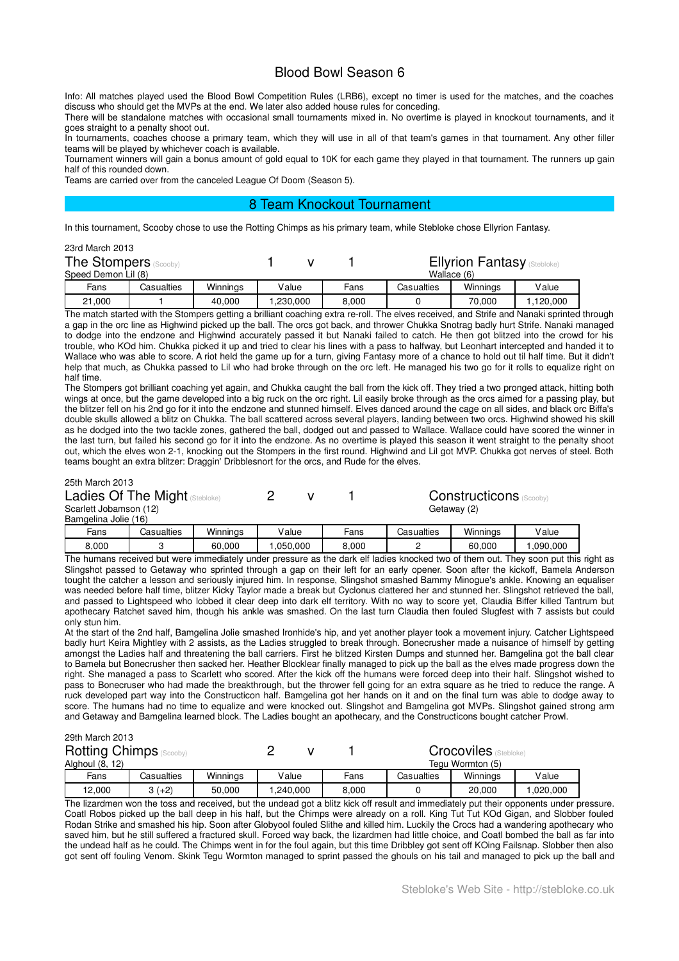# Blood Bowl Season 6

Info: All matches played used the Blood Bowl Competition Rules (LRB6), except no timer is used for the matches, and the coaches discuss who should get the MVPs at the end. We later also added house rules for conceding.

There will be standalone matches with occasional small tournaments mixed in. No overtime is played in knockout tournaments, and it goes straight to a penalty shoot out.

In tournaments, coaches choose a primary team, which they will use in all of that team's games in that tournament. Any other filler teams will be played by whichever coach is available.

Tournament winners will gain a bonus amount of gold equal to 10K for each game they played in that tournament. The runners up gain half of this rounded down.

Teams are carried over from the canceled League Of Doom (Season 5).

## 8 Team Knockout Tournament

In this tournament, Scooby chose to use the Rotting Chimps as his primary team, while Stebloke chose Ellyrion Fantasy.

| 23rd March 2013              |            |          |          |       |                                    |             |          |  |
|------------------------------|------------|----------|----------|-------|------------------------------------|-------------|----------|--|
| <b>The Stompers (Scooby)</b> |            |          |          |       | <b>Ellyrion Fantasy (Stebloke)</b> |             |          |  |
| Speed Demon Lil (8)          |            |          |          |       |                                    | Wallace (6) |          |  |
| Fans                         | Casualties | Winnings | Value    | Fans  | Casualties                         | Winnings    | Value    |  |
| 21,000                       |            | 40,000   | 230,000. | 8.000 |                                    | 70.000      | 120,000. |  |

The match started with the Stompers getting a brilliant coaching extra re-roll. The elves received, and Strife and Nanaki sprinted through a gap in the orc line as Highwind picked up the ball. The orcs got back, and thrower Chukka Snotrag badly hurt Strife. Nanaki managed to dodge into the endzone and Highwind accurately passed it but Nanaki failed to catch. He then got blitzed into the crowd for his trouble, who KOd him. Chukka picked it up and tried to clear his lines with a pass to halfway, but Leonhart intercepted and handed it to Wallace who was able to score. A riot held the game up for a turn, giving Fantasy more of a chance to hold out til half time. But it didn't help that much, as Chukka passed to Lil who had broke through on the orc left. He managed his two go for it rolls to equalize right on half time.

The Stompers got brilliant coaching yet again, and Chukka caught the ball from the kick off. They tried a two pronged attack, hitting both wings at once, but the game developed into a big ruck on the orc right. Lil easily broke through as the orcs aimed for a passing play, but the blitzer fell on his 2nd go for it into the endzone and stunned himself. Elves danced around the cage on all sides, and black orc Biffa's double skulls allowed a blitz on Chukka. The ball scattered across several players, landing between two orcs. Highwind showed his skill as he dodged into the two tackle zones, gathered the ball, dodged out and passed to Wallace. Wallace could have scored the winner in the last turn, but failed his second go for it into the endzone. As no overtime is played this season it went straight to the penalty shoot out, which the elves won 2-1, knocking out the Stompers in the first round. Highwind and Lil got MVP. Chukka got nerves of steel. Both teams bought an extra blitzer: Draggin' Dribblesnort for the orcs, and Rude for the elves.

## 25th March 2013

| Ladies Of The Might (Stebloke) |  |
|--------------------------------|--|
| Scarlott Johamson (12)         |  |

1 Constructicons (Scooby) Getaway (2)

| Bamgelina<br><br>∟Jolie⊣ | 16)        |                      |          |          |            |           |          |
|--------------------------|------------|----------------------|----------|----------|------------|-----------|----------|
| Fans                     | Casualties | Winninas             | '/alue   | Fans     | Casualties | Winnings  | Value    |
| 8.000                    |            | 60.000               | .050.000 | 8,000    |            | 60,000    | .090.000 |
| --                       |            | $\sim$ $\sim$ $\sim$ |          | .<br>$-$ |            | .<br>$ -$ |          |

The humans received but were immediately under pressure as the dark elf ladies knocked two of them out. They soon put this right as Slingshot passed to Getaway who sprinted through a gap on their left for an early opener. Soon after the kickoff, Bamela Anderson tought the catcher a lesson and seriously injured him. In response, Slingshot smashed Bammy Minogue's ankle. Knowing an equaliser was needed before half time, blitzer Kicky Taylor made a break but Cyclonus clattered her and stunned her. Slingshot retrieved the ball. and passed to Lightspeed who lobbed it clear deep into dark elf territory. With no way to score yet, Claudia Biffer killed Tantrum but apothecary Ratchet saved him, though his ankle was smashed. On the last turn Claudia then fouled Slugfest with 7 assists but could only stun him.

At the start of the 2nd half, Bamgelina Jolie smashed Ironhide's hip, and yet another player took a movement injury. Catcher Lightspeed badly hurt Keira Mightley with 2 assists, as the Ladies struggled to break through. Bonecrusher made a nuisance of himself by getting amongst the Ladies half and threatening the ball carriers. First he blitzed Kirsten Dumps and stunned her. Bamgelina got the ball clear to Bamela but Bonecrusher then sacked her. Heather Blocklear finally managed to pick up the ball as the elves made progress down the right. She managed a pass to Scarlett who scored. After the kick off the humans were forced deep into their half. Slingshot wished to pass to Bonecruser who had made the breakthrough, but the thrower fell going for an extra square as he tried to reduce the range. A ruck developed part way into the Constructicon half. Bamgelina got her hands on it and on the final turn was able to dodge away to score. The humans had no time to equalize and were knocked out. Slingshot and Bamgelina got MVPs. Slingshot gained strong arm and Getaway and Bamgelina learned block. The Ladies bought an apothecary, and the Constructicons bought catcher Prowl.

|                 | 29th March 2013                |            |          |           |  |                  |                              |          |           |
|-----------------|--------------------------------|------------|----------|-----------|--|------------------|------------------------------|----------|-----------|
|                 | <b>Rotting Chimps</b> (Scooby) |            |          |           |  |                  | <b>Crocoviles</b> (Stebloke) |          |           |
| Alghoul (8, 12) |                                |            |          |           |  | Tegu Wormton (5) |                              |          |           |
|                 | Fans                           | Casualties | Winnings | Value     |  | Fans             | Casualties                   | Winnings | Value     |
|                 | 12.000                         | $3 (+2)$   | 50.000   | 1,240,000 |  | 8,000            |                              | 20,000   | 1,020,000 |

The lizardmen won the toss and received, but the undead got a blitz kick off result and immediately put their opponents under pressure. Coatl Robos picked up the ball deep in his half, but the Chimps were already on a roll. King Tut Tut KOd Gigan, and Slobber fouled Rodan Strike and smashed his hip. Soon after Globyool fouled Slithe and killed him. Luckily the Crocs had a wandering apothecary who saved him, but he still suffered a fractured skull. Forced way back, the lizardmen had little choice, and Coatl bombed the ball as far into the undead half as he could. The Chimps went in for the foul again, but this time Dribbley got sent off KOing Failsnap. Slobber then also got sent off fouling Venom. Skink Tegu Wormton managed to sprint passed the ghouls on his tail and managed to pick up the ball and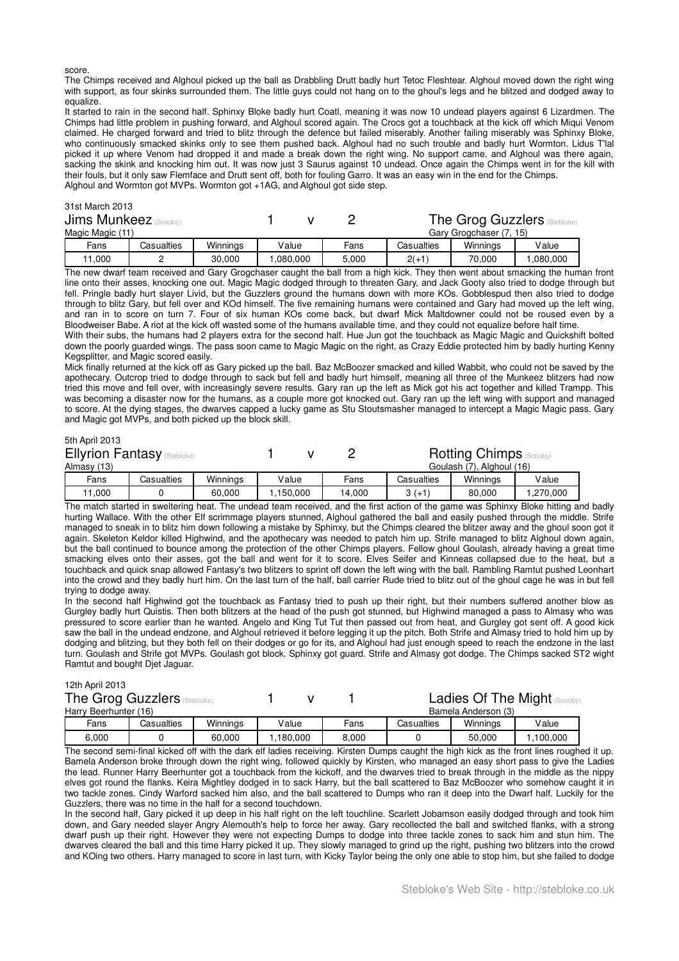score.

The Chimps received and Alghoul picked up the ball as Drabbling Drutt badly hurt Tetoc Fleshtear. Alghoul moved down the right wing with support, as four skinks surrounded them. The little guys could not hang on to the ghoul's legs and he blitzed and dodged away to equalize.

It started to rain in the second half. Sphinxy Bloke badly hurt Coatl, meaning it was now 10 undead players against 6 Lizardmen. The Chimps had little problem in pushing forward, and Alghoul scored again. The Crocs got a touchback at the kick off which Miqui Venom claimed. He charged forward and tried to blitz through the defence but failed miserably. Another failing miserably was Sphinxy Bloke, who continuously smacked skinks only to see them pushed back. Alghoul had no such trouble and badly hurt Wormton. Lidus T'lal picked it up where Venom had dropped it and made a break down the right wing. No support came, and Alghoul was there again, sacking the skink and knocking him out. It was now just 3 Saurus against 10 undead. Once again the Chimps went in for the kill with their fouls, but it only saw Flemface and Drutt sent off, both for fouling Garro. It was an easy win in the end for the Chimps. Alghoul and Wormton got MVPs. Wormton got +1AG, and Alghoul got side step.

#### 31st March 2013

|                  | <b>Jims Munkeez</b> (Scooby) |          |          |       | <b>The Grog Guzzlers (Stebloke)</b> |          |          |  |
|------------------|------------------------------|----------|----------|-------|-------------------------------------|----------|----------|--|
| Magic Magic (11) |                              |          |          |       | Gary Grogchaser (7, 15)             |          |          |  |
| Fans             | Casualties                   | Winnings | Value    | Fans  | Casualties                          | Winnings | Value    |  |
| 11.000           |                              | 30,000   | .080.000 | 5.000 | $2(+1)$                             | 70.000   | .080.000 |  |

The new dwarf team received and Gary Grogchaser caught the ball from a high kick. They then went about smacking the human front line onto their asses, knocking one out. Magic Magic dodged through to threaten Gary, and Jack Gooty also tried to dodge through but fell. Pringle badly hurt slayer Livid, but the Guzzlers ground the humans down with more KOs. Gobblespud then also tried to dodge through to blitz Gary, but fell over and KOd himself. The five remaining humans were contained and Gary had moved up the left wing, and ran in to score on turn 7. Four of six human KOs come back, but dwarf Mick Maltdowner could not be roused even by a Bloodweiser Babe. A riot at the kick off wasted some of the humans available time, and they could not equalize before half time.

With their subs, the humans had 2 players extra for the second half. Hue Jun got the touchback as Magic Magic and Quickshift bolted down the poorly guarded wings. The pass soon came to Magic Magic on the right, as Crazy Eddie protected him by badly hurting Kenny Kegsplitter, and Magic scored easily.

Mick finally returned at the kick off as Gary picked up the ball. Baz McBoozer smacked and killed Wabbit, who could not be saved by the apothecary. Outcrop tried to dodge through to sack but fell and badly hurt himself, meaning all three of the Munkeez blitzers had now tried this move and fell over, with increasingly severe results. Gary ran up the left as Mick got his act together and killed Trampp. This was becoming a disaster now for the humans, as a couple more got knocked out. Gary ran up the left wing with support and managed to score. At the dying stages, the dwarves capped a lucky game as Stu Stoutsmasher managed to intercept a Magic Magic pass. Gary and Magic got MVPs, and both picked up the block skill.

# 5th April 2013

| <b>Ellyrion Fantasy (Stebloke)</b><br>Almasy (13) |            |          |          |        |            | <b>Rotting Chimps</b> (Scooby)<br>Goulash (7), Alghoul (16) |           |
|---------------------------------------------------|------------|----------|----------|--------|------------|-------------------------------------------------------------|-----------|
| Fans                                              | Casualties | Winnings | Value    | Fans   | Casualties | Winnings                                                    | Value     |
| 1.000                                             |            | 60.000   | .150.000 | 14.000 | $3(+1)$    | 80.000                                                      | 1,270,000 |

The match started in sweltering heat. The undead team received, and the first action of the game was Sphinxy Bloke hitting and badly hurting Wallace. With the other Elf scrimmage players stunned, Alghoul gathered the ball and easily pushed through the middle. Strife managed to sneak in to blitz him down following a mistake by Sphinxy, but the Chimps cleared the blitzer away and the ghoul soon got it again. Skeleton Keldor killed Highwind, and the apothecary was needed to patch him up. Strife managed to blitz Alghoul down again, but the ball continued to bounce among the protection of the other Chimps players. Fellow ghoul Goulash, already having a great time smacking elves onto their asses, got the ball and went for it to score. Elves Seifer and Kinneas collapsed due to the heat, but a touchback and quick snap allowed Fantasy's two blitzers to sprint off down the left wing with the ball. Rambling Ramtut pushed Leonhart into the crowd and they badly hurt him. On the last turn of the half, ball carrier Rude tried to blitz out of the ghoul cage he was in but fell trying to dodge away.

In the second half Highwind got the touchback as Fantasy tried to push up their right, but their numbers suffered another blow as Gurgley badly hurt Quistis. Then both blitzers at the head of the push got stunned, but Highwind managed a pass to Almasy who was pressured to score earlier than he wanted. Angelo and King Tut Tut then passed out from heat, and Gurgley got sent off. A good kick saw the ball in the undead endzone, and Alghoul retrieved it before legging it up the pitch. Both Strife and Almasy tried to hold him up by dodging and blitzing, but they both fell on their dodges or go for its, and Alghoul had just enough speed to reach the endzone in the last turn. Goulash and Strife got MVPs. Goulash got block. Sphinxy got guard. Strife and Almasy got dodge. The Chimps sacked ST2 wight Ramtut and bought Djet Jaguar.

### 12th April 2013

|                       | The Grog Guzzlers |            |          |          |       |            |                     | <b>Ladies Of The Might (Scooby)</b> |  |
|-----------------------|-------------------|------------|----------|----------|-------|------------|---------------------|-------------------------------------|--|
| Harry Beerhunter (16) |                   |            |          |          |       |            | Bamela Anderson (3) |                                     |  |
|                       | Fans              | Casualties | Winnings | Value    | Fans  | Casualties | Winnings            | Value                               |  |
|                       | 6,000             |            | 60.000   | .180.000 | 8.000 |            | 50.000              | 100.000                             |  |

The second semi-final kicked off with the dark elf ladies receiving. Kirsten Dumps caught the high kick as the front lines roughed it up. Bamela Anderson broke through down the right wing, followed quickly by Kirsten, who managed an easy short pass to give the Ladies the lead. Runner Harry Beerhunter got a touchback from the kickoff, and the dwarves tried to break through in the middle as the nippy elves got round the flanks. Keira Mightley dodged in to sack Harry, but the ball scattered to Baz McBoozer who somehow caught it in two tackle zones. Cindy Warford sacked him also, and the ball scattered to Dumps who ran it deep into the Dwarf half. Luckily for the Guzzlers, there was no time in the half for a second touchdown.

In the second half, Gary picked it up deep in his half right on the left touchline. Scarlett Jobamson easily dodged through and took him down, and Gary needed slayer Angry Alemouth's help to force her away. Gary recollected the ball and switched flanks, with a strong dwarf push up their right. However they were not expecting Dumps to dodge into three tackle zones to sack him and stun him. The dwarves cleared the ball and this time Harry picked it up. They slowly managed to grind up the right, pushing two blitzers into the crowd and KOing two others. Harry managed to score in last turn, with Kicky Taylor being the only one able to stop him, but she failed to dodge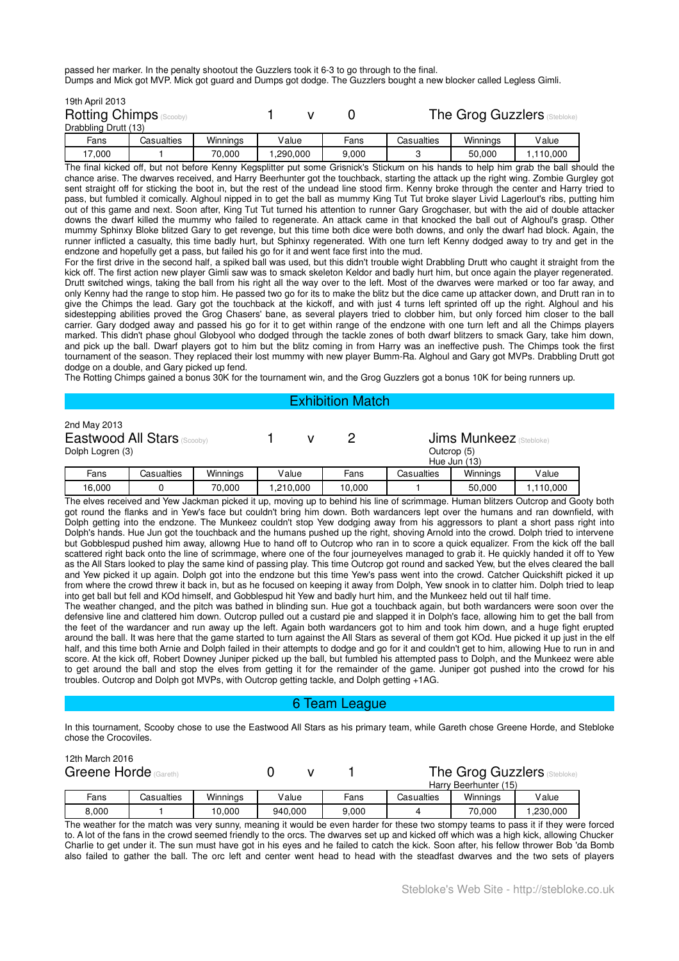passed her marker. In the penalty shootout the Guzzlers took it 6-3 to go through to the final. Dumps and Mick got MVP. Mick got guard and Dumps got dodge. The Guzzlers bought a new blocker called Legless Gimli.

| 19th April 2013                |            |          |          |       |            |          |                                     |
|--------------------------------|------------|----------|----------|-------|------------|----------|-------------------------------------|
| <b>Rotting Chimps</b> (Scooby) |            |          |          |       |            |          | <b>The Grog Guzzlers (Stebloke)</b> |
| Drabbling Drutt (13)           |            |          |          |       |            |          |                                     |
| Fans                           | Casualties | Winnings | Value    | Fans  | Casualties | Winnings | Value                               |
| 17,000                         |            | 70.000   | ,290,000 | 9,000 |            | 50.000   | 1,110,000                           |

The final kicked off, but not before Kenny Kegsplitter put some Grisnick's Stickum on his hands to help him grab the ball should the chance arise. The dwarves received, and Harry Beerhunter got the touchback, starting the attack up the right wing. Zombie Gurgley got sent straight off for sticking the boot in, but the rest of the undead line stood firm. Kenny broke through the center and Harry tried to pass, but fumbled it comically. Alghoul nipped in to get the ball as mummy King Tut Tut broke slayer Livid Lagerlout's ribs, putting him out of this game and next. Soon after, King Tut Tut turned his attention to runner Gary Grogchaser, but with the aid of double attacker downs the dwarf killed the mummy who failed to regenerate. An attack came in that knocked the ball out of Alghoul's grasp. Other mummy Sphinxy Bloke blitzed Gary to get revenge, but this time both dice were both downs, and only the dwarf had block. Again, the runner inflicted a casualty, this time badly hurt, but Sphinxy regenerated. With one turn left Kenny dodged away to try and get in the endzone and hopefully get a pass, but failed his go for it and went face first into the mud.

For the first drive in the second half, a spiked ball was used, but this didn't trouble wight Drabbling Drutt who caught it straight from the kick off. The first action new player Gimli saw was to smack skeleton Keldor and badly hurt him, but once again the player regenerated. Drutt switched wings, taking the ball from his right all the way over to the left. Most of the dwarves were marked or too far away, and only Kenny had the range to stop him. He passed two go for its to make the blitz but the dice came up attacker down, and Drutt ran in to give the Chimps the lead. Gary got the touchback at the kickoff, and with just 4 turns left sprinted off up the right. Alghoul and his sidestepping abilities proved the Grog Chasers' bane, as several players tried to clobber him, but only forced him closer to the ball carrier. Gary dodged away and passed his go for it to get within range of the endzone with one turn left and all the Chimps players marked. This didn't phase ghoul Globyool who dodged through the tackle zones of both dwarf blitzers to smack Gary, take him down, and pick up the ball. Dwarf players got to him but the blitz coming in from Harry was an ineffective push. The Chimps took the first tournament of the season. They replaced their lost mummy with new player Bumm-Ra. Alghoul and Gary got MVPs. Drabbling Drutt got dodge on a double, and Gary picked up fend.

The Rotting Chimps gained a bonus 30K for the tournament win, and the Grog Guzzlers got a bonus 10K for being runners up.

## Exhibition Match

| 2nd May 2013<br>Eastwood All Stars (Scooby)<br>Dolph Logren (3)<br>Casualties<br>Fans |  |          | <b>Jims Munkeez</b> (Stebloke)<br>Outcrop (5)<br>Hue Jun (13) |        |            |          |           |
|---------------------------------------------------------------------------------------|--|----------|---------------------------------------------------------------|--------|------------|----------|-----------|
|                                                                                       |  | Winnings | Value                                                         | Fans   | Casualties | Winnings | Value     |
| 16,000                                                                                |  | 70.000   | 1,210,000                                                     | 10,000 |            | 50.000   | 1,110,000 |

The elves received and Yew Jackman picked it up, moving up to behind his line of scrimmage. Human blitzers Outcrop and Gooty both got round the flanks and in Yew's face but couldn't bring him down. Both wardancers lept over the humans and ran downfield, with Dolph getting into the endzone. The Munkeez couldn't stop Yew dodging away from his aggressors to plant a short pass right into Dolph's hands. Hue Jun got the touchback and the humans pushed up the right, shoving Arnold into the crowd. Dolph tried to intervene but Gobblespud pushed him away, allowng Hue to hand off to Outcrop who ran in to score a quick equalizer. From the kick off the ball scattered right back onto the line of scrimmage, where one of the four journeyelves managed to grab it. He quickly handed it off to Yew as the All Stars looked to play the same kind of passing play. This time Outcrop got round and sacked Yew, but the elves cleared the ball and Yew picked it up again. Dolph got into the endzone but this time Yew's pass went into the crowd. Catcher Quickshift picked it up from where the crowd threw it back in, but as he focused on keeping it away from Dolph, Yew snook in to clatter him. Dolph tried to leap into get ball but fell and KOd himself, and Gobblespud hit Yew and badly hurt him, and the Munkeez held out til half time.

The weather changed, and the pitch was bathed in blinding sun. Hue got a touchback again, but both wardancers were soon over the defensive line and clattered him down. Outcrop pulled out a custard pie and slapped it in Dolph's face, allowing him to get the ball from the feet of the wardancer and run away up the left. Again both wardancers got to him and took him down, and a huge fight erupted around the ball. It was here that the game started to turn against the All Stars as several of them got KOd. Hue picked it up just in the elf half, and this time both Arnie and Dolph failed in their attempts to dodge and go for it and couldn't get to him, allowing Hue to run in and score. At the kick off, Robert Downey Juniper picked up the ball, but fumbled his attempted pass to Dolph, and the Munkeez were able to get around the ball and stop the elves from getting it for the remainder of the game. Juniper got pushed into the crowd for his troubles. Outcrop and Dolph got MVPs, with Outcrop getting tackle, and Dolph getting +1AG.

# 6 Team League

In this tournament, Scooby chose to use the Eastwood All Stars as his primary team, while Gareth chose Greene Horde, and Stebloke chose the Crocoviles.

| 12th March 2016<br>Greene Horde (Gareth) |            |          |         |  | <b>The Grog Guzzlers (Stebloke)</b><br>Harry Beerhunter (15) |            |          |          |
|------------------------------------------|------------|----------|---------|--|--------------------------------------------------------------|------------|----------|----------|
| Fans                                     | Casualties | Winnings | Value   |  | Fans                                                         | Casualties | Winnings | Value    |
| 8.000                                    |            | 10.000   | 940.000 |  | 9.000                                                        |            | 70.000   | .230,000 |

The weather for the match was very sunny, meaning it would be even harder for these two stompy teams to pass it if they were forced to. A lot of the fans in the crowd seemed friendly to the orcs. The dwarves set up and kicked off which was a high kick, allowing Chucker Charlie to get under it. The sun must have got in his eyes and he failed to catch the kick. Soon after, his fellow thrower Bob 'da Bomb also failed to gather the ball. The orc left and center went head to head with the steadfast dwarves and the two sets of players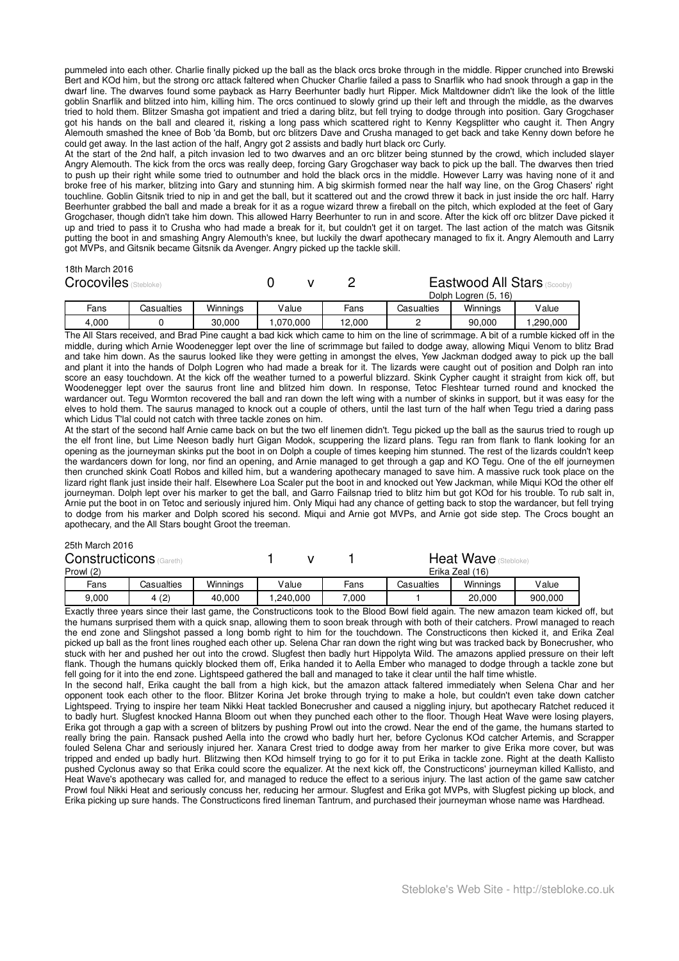pummeled into each other. Charlie finally picked up the ball as the black orcs broke through in the middle. Ripper crunched into Brewski Bert and KOd him, but the strong orc attack faltered when Chucker Charlie failed a pass to Snarflik who had snook through a gap in the dwarf line. The dwarves found some payback as Harry Beerhunter badly hurt Ripper. Mick Maltdowner didn't like the look of the little goblin Snarflik and blitzed into him, killing him. The orcs continued to slowly grind up their left and through the middle, as the dwarves tried to hold them. Blitzer Smasha got impatient and tried a daring blitz, but fell trying to dodge through into position. Gary Grogchaser got his hands on the ball and cleared it, risking a long pass which scattered right to Kenny Kegsplitter who caught it. Then Angry Alemouth smashed the knee of Bob 'da Bomb, but orc blitzers Dave and Crusha managed to get back and take Kenny down before he could get away. In the last action of the half, Angry got 2 assists and badly hurt black orc Curly.

At the start of the 2nd half, a pitch invasion led to two dwarves and an orc blitzer being stunned by the crowd, which included slayer Angry Alemouth. The kick from the orcs was really deep, forcing Gary Grogchaser way back to pick up the ball. The dwarves then tried to push up their right while some tried to outnumber and hold the black orcs in the middle. However Larry was having none of it and broke free of his marker, blitzing into Gary and stunning him. A big skirmish formed near the half way line, on the Grog Chasers' right touchline. Goblin Gitsnik tried to nip in and get the ball, but it scattered out and the crowd threw it back in just inside the orc half. Harry Beerhunter grabbed the ball and made a break for it as a rogue wizard threw a fireball on the pitch, which exploded at the feet of Gary Grogchaser, though didn't take him down. This allowed Harry Beerhunter to run in and score. After the kick off orc blitzer Dave picked it up and tried to pass it to Crusha who had made a break for it, but couldn't get it on target. The last action of the match was Gitsnik putting the boot in and smashing Angry Alemouth's knee, but luckily the dwarf apothecary managed to fix it. Angry Alemouth and Larry got MVPs, and Gitsnik became Gitsnik da Avenger. Angry picked up the tackle skill.

#### 18th March 2016

| <b>Crocoviles</b> (Stebloke) |            |          |          |        |            | Eastwood All Stars<br>Dolph Logren (5, 16) |          |  |
|------------------------------|------------|----------|----------|--------|------------|--------------------------------------------|----------|--|
| Fans                         | Casualties | Winnings | Value    | Fans   | Casualties | Winnings                                   | Value    |  |
| 4.000                        |            | 30.000   | .070.000 | 12.000 |            | 90,000                                     | ,290,000 |  |

The All Stars received, and Brad Pine caught a bad kick which came to him on the line of scrimmage. A bit of a rumble kicked off in the middle, during which Arnie Woodenegger lept over the line of scrimmage but failed to dodge away, allowing Miqui Venom to blitz Brad and take him down. As the saurus looked like they were getting in amongst the elves, Yew Jackman dodged away to pick up the ball and plant it into the hands of Dolph Logren who had made a break for it. The lizards were caught out of position and Dolph ran into score an easy touchdown. At the kick off the weather turned to a powerful blizzard. Skink Cypher caught it straight from kick off, but Woodenegger lept over the saurus front line and blitzed him down. In response, Tetoc Fleshtear turned round and knocked the wardancer out. Tegu Wormton recovered the ball and ran down the left wing with a number of skinks in support, but it was easy for the elves to hold them. The saurus managed to knock out a couple of others, until the last turn of the half when Tegu tried a daring pass which Lidus T'lal could not catch with three tackle zones on him.

At the start of the second half Arnie came back on but the two elf linemen didn't. Tegu picked up the ball as the saurus tried to rough up the elf front line, but Lime Neeson badly hurt Gigan Modok, scuppering the lizard plans. Tegu ran from flank to flank looking for an opening as the journeyman skinks put the boot in on Dolph a couple of times keeping him stunned. The rest of the lizards couldn't keep the wardancers down for long, nor find an opening, and Arnie managed to get through a gap and KO Tegu. One of the elf journeymen then crunched skink Coatl Robos and killed him, but a wandering apothecary managed to save him. A massive ruck took place on the lizard right flank just inside their half. Elsewhere Loa Scaler put the boot in and knocked out Yew Jackman, while Miqui KOd the other elf journeyman. Dolph lept over his marker to get the ball, and Garro Failsnap tried to blitz him but got KOd for his trouble. To rub salt in, Arnie put the boot in on Tetoc and seriously injured him. Only Miqui had any chance of getting back to stop the wardancer, but fell trying to dodge from his marker and Dolph scored his second. Miqui and Arnie got MVPs, and Arnie got side step. The Crocs bought an apothecary, and the All Stars bought Groot the treeman.

#### 25th March 2016

| <b>Constructicons</b> | Gareth)    |          |          |      | Heat Wave       |          |         |  |
|-----------------------|------------|----------|----------|------|-----------------|----------|---------|--|
| Prowl (2)             |            |          |          |      | Erika Zeal (16) |          |         |  |
| Fans                  | Casualties | Winnings | Value    | Fans | Casualties      | Winnings | Value   |  |
| 9.000                 | 4(2)       | 40.000   | .240.000 | 000. |                 | 20,000   | 900.000 |  |

Exactly three years since their last game, the Constructicons took to the Blood Bowl field again. The new amazon team kicked off, but the humans surprised them with a quick snap, allowing them to soon break through with both of their catchers. Prowl managed to reach the end zone and Slingshot passed a long bomb right to him for the touchdown. The Constructicons then kicked it, and Erika Zeal picked up ball as the front lines roughed each other up. Selena Char ran down the right wing but was tracked back by Bonecrusher, who stuck with her and pushed her out into the crowd. Slugfest then badly hurt Hippolyta Wild. The amazons applied pressure on their left flank. Though the humans quickly blocked them off, Erika handed it to Aella Ember who managed to dodge through a tackle zone but fell going for it into the end zone. Lightspeed gathered the ball and managed to take it clear until the half time whistle.

In the second half, Erika caught the ball from a high kick, but the amazon attack faltered immediately when Selena Char and her opponent took each other to the floor. Blitzer Korina Jet broke through trying to make a hole, but couldn't even take down catcher Lightspeed. Trying to inspire her team Nikki Heat tackled Bonecrusher and caused a niggling injury, but apothecary Ratchet reduced it to badly hurt. Slugfest knocked Hanna Bloom out when they punched each other to the floor. Though Heat Wave were losing players, Erika got through a gap with a screen of blitzers by pushing Prowl out into the crowd. Near the end of the game, the humans started to really bring the pain. Ransack pushed Aella into the crowd who badly hurt her, before Cyclonus KOd catcher Artemis, and Scrapper fouled Selena Char and seriously injured her. Xanara Crest tried to dodge away from her marker to give Erika more cover, but was tripped and ended up badly hurt. Blitzwing then KOd himself trying to go for it to put Erika in tackle zone. Right at the death Kallisto pushed Cyclonus away so that Erika could score the equalizer. At the next kick off, the Constructicons' journeyman killed Kallisto, and Heat Wave's apothecary was called for, and managed to reduce the effect to a serious injury. The last action of the game saw catcher Prowl foul Nikki Heat and seriously concuss her, reducing her armour. Slugfest and Erika got MVPs, with Slugfest picking up block, and Erika picking up sure hands. The Constructicons fired lineman Tantrum, and purchased their journeyman whose name was Hardhead.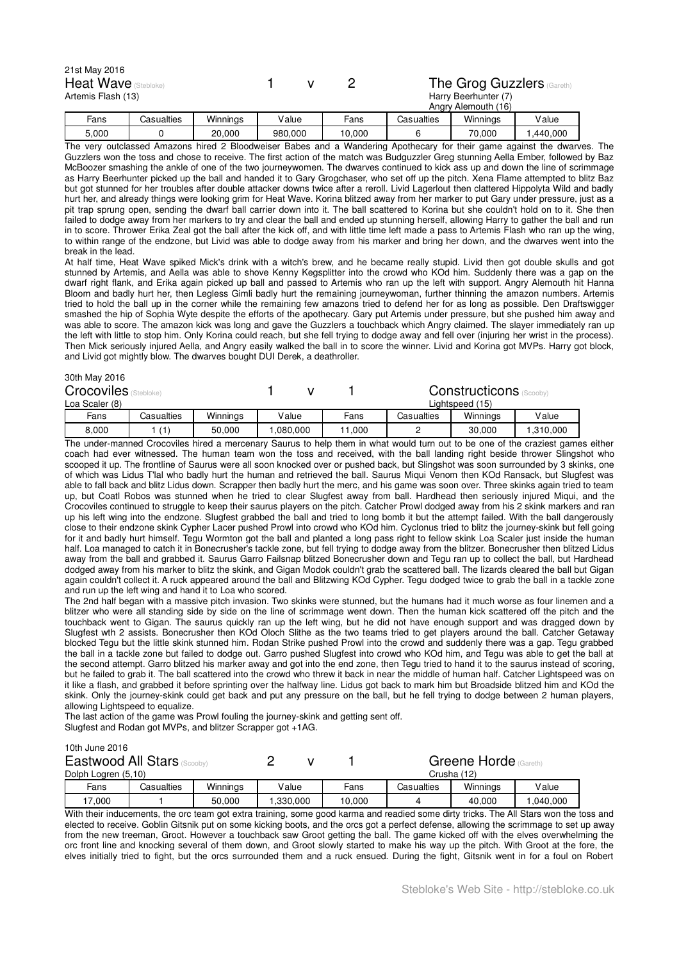| 21st May 2016               |  |                                   |
|-----------------------------|--|-----------------------------------|
| <b>Heat Wave</b> (Stebloke) |  | <b>The Grog Guzzlers (Gareth)</b> |
| Artemis Flash (13)          |  | Harry Beerhunter (7)              |
|                             |  | Angry Alemouth (16)               |

| Fans  | Casualties | $\cdots$<br>Winninas | /alue   | -ans   | esualties: | Winninas    | lalue    |
|-------|------------|----------------------|---------|--------|------------|-------------|----------|
| 5,000 |            | 20,000               | 980,000 | 10.000 |            | 70<br>0.000 | .440.000 |

The very outclassed Amazons hired 2 Bloodweiser Babes and a Wandering Apothecary for their game against the dwarves. The Guzzlers won the toss and chose to receive. The first action of the match was Budguzzler Greg stunning Aella Ember, followed by Baz McBoozer smashing the ankle of one of the two journeywomen. The dwarves continued to kick ass up and down the line of scrimmage as Harry Beerhunter picked up the ball and handed it to Gary Grogchaser, who set off up the pitch. Xena Flame attempted to blitz Baz but got stunned for her troubles after double attacker downs twice after a reroll. Livid Lagerlout then clattered Hippolyta Wild and badly hurt her, and already things were looking grim for Heat Wave. Korina blitzed away from her marker to put Gary under pressure, just as a pit trap sprung open, sending the dwarf ball carrier down into it. The ball scattered to Korina but she couldn't hold on to it. She then failed to dodge away from her markers to try and clear the ball and ended up stunning herself, allowing Harry to gather the ball and run in to score. Thrower Erika Zeal got the ball after the kick off, and with little time left made a pass to Artemis Flash who ran up the wing, to within range of the endzone, but Livid was able to dodge away from his marker and bring her down, and the dwarves went into the break in the lead.

At half time, Heat Wave spiked Mick's drink with a witch's brew, and he became really stupid. Livid then got double skulls and got stunned by Artemis, and Aella was able to shove Kenny Kegsplitter into the crowd who KOd him. Suddenly there was a gap on the dwarf right flank, and Erika again picked up ball and passed to Artemis who ran up the left with support. Angry Alemouth hit Hanna Bloom and badly hurt her, then Legless Gimli badly hurt the remaining journeywoman, further thinning the amazon numbers. Artemis tried to hold the ball up in the corner while the remaining few amazons tried to defend her for as long as possible. Den Draftswigger smashed the hip of Sophia Wyte despite the efforts of the apothecary. Gary put Artemis under pressure, but she pushed him away and was able to score. The amazon kick was long and gave the Guzzlers a touchback which Angry claimed. The slayer immediately ran up the left with little to stop him. Only Korina could reach, but she fell trying to dodge away and fell over (injuring her wrist in the process). Then Mick seriously injured Aella, and Angry easily walked the ball in to score the winner. Livid and Korina got MVPs. Harry got block, and Livid got mightly blow. The dwarves bought DUI Derek, a deathroller.

| 30th May 2016<br><b>Crocoviles</b> (Stebloke) |            |          |          |        |            | <b>Constructicons</b> (Scooby) |           |
|-----------------------------------------------|------------|----------|----------|--------|------------|--------------------------------|-----------|
| Loa Scaler (8)                                |            |          |          |        |            | Lightspeed (15)                |           |
| Fans                                          | Casualties | Winnings | Value    | Fans   | Casualties | Winnings                       | Value     |
| 8,000                                         | (1)        | 50,000   | ,080,000 | 11.000 |            | 30,000                         | 1,310,000 |

The under-manned Crocoviles hired a mercenary Saurus to help them in what would turn out to be one of the craziest games either coach had ever witnessed. The human team won the toss and received, with the ball landing right beside thrower Slingshot who scooped it up. The frontline of Saurus were all soon knocked over or pushed back, but Slingshot was soon surrounded by 3 skinks, one of which was Lidus T'lal who badly hurt the human and retrieved the ball. Saurus Miqui Venom then KOd Ransack, but Slugfest was able to fall back and blitz Lidus down. Scrapper then badly hurt the merc, and his game was soon over. Three skinks again tried to team up, but Coatl Robos was stunned when he tried to clear Slugfest away from ball. Hardhead then seriously injured Miqui, and the Crocoviles continued to struggle to keep their saurus players on the pitch. Catcher Prowl dodged away from his 2 skink markers and ran up his left wing into the endzone. Slugfest grabbed the ball and tried to long bomb it but the attempt failed. With the ball dangerously close to their endzone skink Cypher Lacer pushed Prowl into crowd who KOd him. Cyclonus tried to blitz the journey-skink but fell going for it and badly hurt himself. Tegu Wormton got the ball and planted a long pass right to fellow skink Loa Scaler just inside the human half. Loa managed to catch it in Bonecrusher's tackle zone, but fell trying to dodge away from the blitzer. Bonecrusher then blitzed Lidus away from the ball and grabbed it. Saurus Garro Failsnap blitzed Bonecrusher down and Tegu ran up to collect the ball, but Hardhead dodged away from his marker to blitz the skink, and Gigan Modok couldn't grab the scattered ball. The lizards cleared the ball but Gigan again couldn't collect it. A ruck appeared around the ball and Blitzwing KOd Cypher. Tegu dodged twice to grab the ball in a tackle zone and run up the left wing and hand it to Loa who scored.

The 2nd half began with a massive pitch invasion. Two skinks were stunned, but the humans had it much worse as four linemen and a blitzer who were all standing side by side on the line of scrimmage went down. Then the human kick scattered off the pitch and the touchback went to Gigan. The saurus quickly ran up the left wing, but he did not have enough support and was dragged down by Slugfest wth 2 assists. Bonecrusher then KOd Oloch Slithe as the two teams tried to get players around the ball. Catcher Getaway blocked Tegu but the little skink stunned him. Rodan Strike pushed Prowl into the crowd and suddenly there was a gap. Tegu grabbed the ball in a tackle zone but failed to dodge out. Garro pushed Slugfest into crowd who KOd him, and Tegu was able to get the ball at the second attempt. Garro blitzed his marker away and got into the end zone, then Tegu tried to hand it to the saurus instead of scoring, but he failed to grab it. The ball scattered into the crowd who threw it back in near the middle of human half. Catcher Lightspeed was on it like a flash, and grabbed it before sprinting over the halfway line. Lidus got back to mark him but Broadside blitzed him and KOd the skink. Only the journey-skink could get back and put any pressure on the ball, but he fell trying to dodge between 2 human players, allowing Lightspeed to equalize.

The last action of the game was Prowl fouling the journey-skink and getting sent off. Slugfest and Rodan got MVPs, and blitzer Scrapper got +1AG.

10th June 2016

| <b>Eastwood All Stars</b> |       |            |          |          |        |            | Greene Horde | Gareth)  |
|---------------------------|-------|------------|----------|----------|--------|------------|--------------|----------|
| Dolph Logren (5,10)       |       |            |          |          |        |            | Crusha (12)  |          |
|                           | Fans  | Casualties | Winninas | Value    | Fans   | Casualties | Winnings     | Value    |
|                           | 7.000 |            | 50.000   | .330.000 | 10.000 |            | 40.000       | .040.000 |

With their inducements, the orc team got extra training, some good karma and readied some dirty tricks. The All Stars won the toss and elected to receive. Goblin Gitsnik put on some kicking boots, and the orcs got a perfect defense, allowing the scrimmage to set up away from the new treeman, Groot. However a touchback saw Groot getting the ball. The game kicked off with the elves overwhelming the orc front line and knocking several of them down, and Groot slowly started to make his way up the pitch. With Groot at the fore, the elves initially tried to fight, but the orcs surrounded them and a ruck ensued. During the fight, Gitsnik went in for a foul on Robert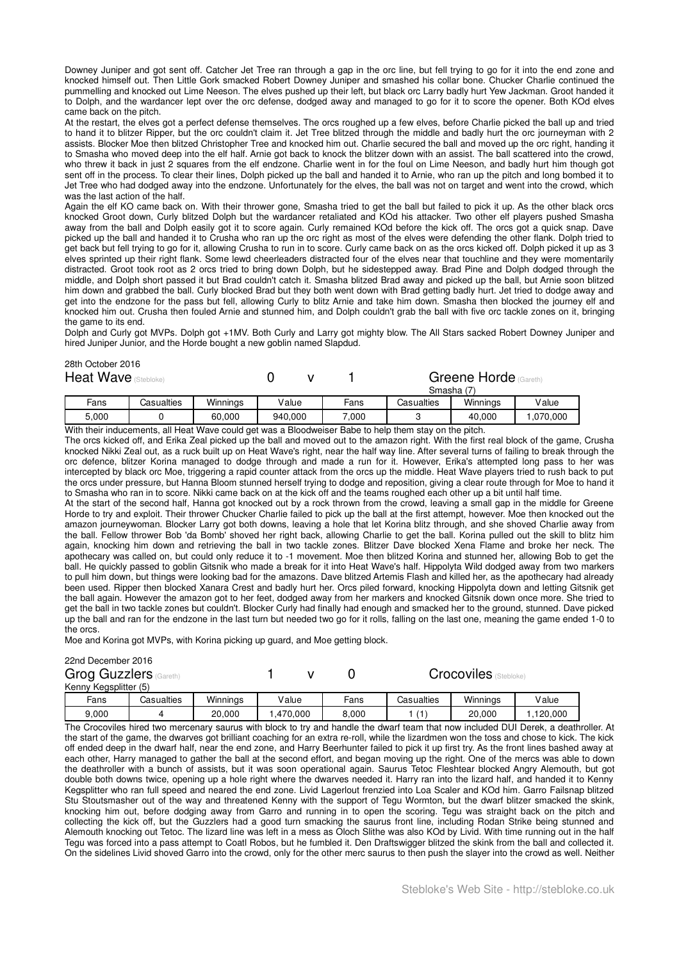Downey Juniper and got sent off. Catcher Jet Tree ran through a gap in the orc line, but fell trying to go for it into the end zone and knocked himself out. Then Little Gork smacked Robert Downey Juniper and smashed his collar bone. Chucker Charlie continued the pummelling and knocked out Lime Neeson. The elves pushed up their left, but black orc Larry badly hurt Yew Jackman. Groot handed it to Dolph, and the wardancer lept over the orc defense, dodged away and managed to go for it to score the opener. Both KOd elves came back on the pitch.

At the restart, the elves got a perfect defense themselves. The orcs roughed up a few elves, before Charlie picked the ball up and tried to hand it to blitzer Ripper, but the orc couldn't claim it. Jet Tree blitzed through the middle and badly hurt the orc journeyman with 2 assists. Blocker Moe then blitzed Christopher Tree and knocked him out. Charlie secured the ball and moved up the orc right, handing it to Smasha who moved deep into the elf half. Arnie got back to knock the blitzer down with an assist. The ball scattered into the crowd, who threw it back in just 2 squares from the elf endzone. Charlie went in for the foul on Lime Neeson, and badly hurt him though got sent off in the process. To clear their lines, Dolph picked up the ball and handed it to Arnie, who ran up the pitch and long bombed it to Jet Tree who had dodged away into the endzone. Unfortunately for the elves, the ball was not on target and went into the crowd, which was the last action of the half.

Again the elf KO came back on. With their thrower gone, Smasha tried to get the ball but failed to pick it up. As the other black orcs knocked Groot down, Curly blitzed Dolph but the wardancer retaliated and KOd his attacker. Two other elf players pushed Smasha away from the ball and Dolph easily got it to score again. Curly remained KOd before the kick off. The orcs got a quick snap. Dave picked up the ball and handed it to Crusha who ran up the orc right as most of the elves were defending the other flank. Dolph tried to get back but fell trying to go for it, allowing Crusha to run in to score. Curly came back on as the orcs kicked off. Dolph picked it up as 3 elves sprinted up their right flank. Some lewd cheerleaders distracted four of the elves near that touchline and they were momentarily distracted. Groot took root as 2 orcs tried to bring down Dolph, but he sidestepped away. Brad Pine and Dolph dodged through the middle, and Dolph short passed it but Brad couldn't catch it. Smasha blitzed Brad away and picked up the ball, but Arnie soon blitzed him down and grabbed the ball. Curly blocked Brad but they both went down with Brad getting badly hurt. Jet tried to dodge away and get into the endzone for the pass but fell, allowing Curly to blitz Arnie and take him down. Smasha then blocked the journey elf and knocked him out. Crusha then fouled Arnie and stunned him, and Dolph couldn't grab the ball with five orc tackle zones on it, bringing the game to its end.

Dolph and Curly got MVPs. Dolph got +1MV. Both Curly and Larry got mighty blow. The All Stars sacked Robert Downey Juniper and hired Juniper Junior, and the Horde bought a new goblin named Slapdud.

| ZOIII OCLODEI ZUTO<br>Heat Wave (Stebloke) |       |            |          |         | Greene Horde (Gareth)<br>Smasha (7) |            |          |          |
|--------------------------------------------|-------|------------|----------|---------|-------------------------------------|------------|----------|----------|
|                                            | Fans  | Casualties | Winninas | Value   | Fans                                | Casualties | Winnings | Value    |
|                                            | 5.000 |            | 60,000   | 940.000 | 7.000                               |            | 40.000   | .070.000 |

With their inducements, all Heat Wave could get was a Bloodweiser Babe to help them stay on the pitch.

The orcs kicked off, and Erika Zeal picked up the ball and moved out to the amazon right. With the first real block of the game, Crusha knocked Nikki Zeal out, as a ruck built up on Heat Wave's right, near the half way line. After several turns of failing to break through the orc defence, blitzer Korina managed to dodge through and made a run for it. However, Erika's attempted long pass to her was intercepted by black orc Moe, triggering a rapid counter attack from the orcs up the middle. Heat Wave players tried to rush back to put the orcs under pressure, but Hanna Bloom stunned herself trying to dodge and reposition, giving a clear route through for Moe to hand it to Smasha who ran in to score. Nikki came back on at the kick off and the teams roughed each other up a bit until half time.

At the start of the second half, Hanna got knocked out by a rock thrown from the crowd, leaving a small gap in the middle for Greene Horde to try and exploit. Their thrower Chucker Charlie failed to pick up the ball at the first attempt, however. Moe then knocked out the amazon journeywoman. Blocker Larry got both downs, leaving a hole that let Korina blitz through, and she shoved Charlie away from the ball. Fellow thrower Bob 'da Bomb' shoved her right back, allowing Charlie to get the ball. Korina pulled out the skill to blitz him again, knocking him down and retrieving the ball in two tackle zones. Blitzer Dave blocked Xena Flame and broke her neck. The apothecary was called on, but could only reduce it to -1 movement. Moe then blitzed Korina and stunned her, allowing Bob to get the ball. He quickly passed to goblin Gitsnik who made a break for it into Heat Wave's half. Hippolyta Wild dodged away from two markers to pull him down, but things were looking bad for the amazons. Dave blitzed Artemis Flash and killed her, as the apothecary had already been used. Ripper then blocked Xanara Crest and badly hurt her. Orcs piled forward, knocking Hippolyta down and letting Gitsnik get the ball again. However the amazon got to her feet, dodged away from her markers and knocked Gitsnik down once more. She tried to get the ball in two tackle zones but couldn't. Blocker Curly had finally had enough and smacked her to the ground, stunned. Dave picked up the ball and ran for the endzone in the last turn but needed two go for it rolls, falling on the last one, meaning the game ended 1-0 to the orcs.

Moe and Korina got MVPs, with Korina picking up guard, and Moe getting block.

### 22nd December 2016

28th October 2016

| Grog Guzzlers         | (Gareth)   |          |          |       | <b>Crocoviles</b> (Stebloke) |          |         |  |
|-----------------------|------------|----------|----------|-------|------------------------------|----------|---------|--|
| Kenny Kegsplitter (5) |            |          |          |       |                              |          |         |  |
| Fans                  | Casualties | Winnings | Value    | Fans  | Casualties                   | Winnings | Value   |  |
| 9.000                 |            | 20.000   | .470.000 | 8.000 |                              | 20,000   | 120.000 |  |

The Crocoviles hired two mercenary saurus with block to try and handle the dwarf team that now included DUI Derek, a deathroller. At the start of the game, the dwarves got brilliant coaching for an extra re-roll, while the lizardmen won the toss and chose to kick. The kick off ended deep in the dwarf half, near the end zone, and Harry Beerhunter failed to pick it up first try. As the front lines bashed away at each other, Harry managed to gather the ball at the second effort, and began moving up the right. One of the mercs was able to down the deathroller with a bunch of assists, but it was soon operational again. Saurus Tetoc Fleshtear blocked Angry Alemouth, but got double both downs twice, opening up a hole right where the dwarves needed it. Harry ran into the lizard half, and handed it to Kenny Kegsplitter who ran full speed and neared the end zone. Livid Lagerlout frenzied into Loa Scaler and KOd him. Garro Failsnap blitzed Stu Stoutsmasher out of the way and threatened Kenny with the support of Tegu Wormton, but the dwarf blitzer smacked the skink, knocking him out, before dodging away from Garro and running in to open the scoring. Tegu was straight back on the pitch and collecting the kick off, but the Guzzlers had a good turn smacking the saurus front line, including Rodan Strike being stunned and Alemouth knocking out Tetoc. The lizard line was left in a mess as Oloch Slithe was also KOd by Livid. With time running out in the half Tegu was forced into a pass attempt to Coatl Robos, but he fumbled it. Den Draftswigger blitzed the skink from the ball and collected it. On the sidelines Livid shoved Garro into the crowd, only for the other merc saurus to then push the slayer into the crowd as well. Neither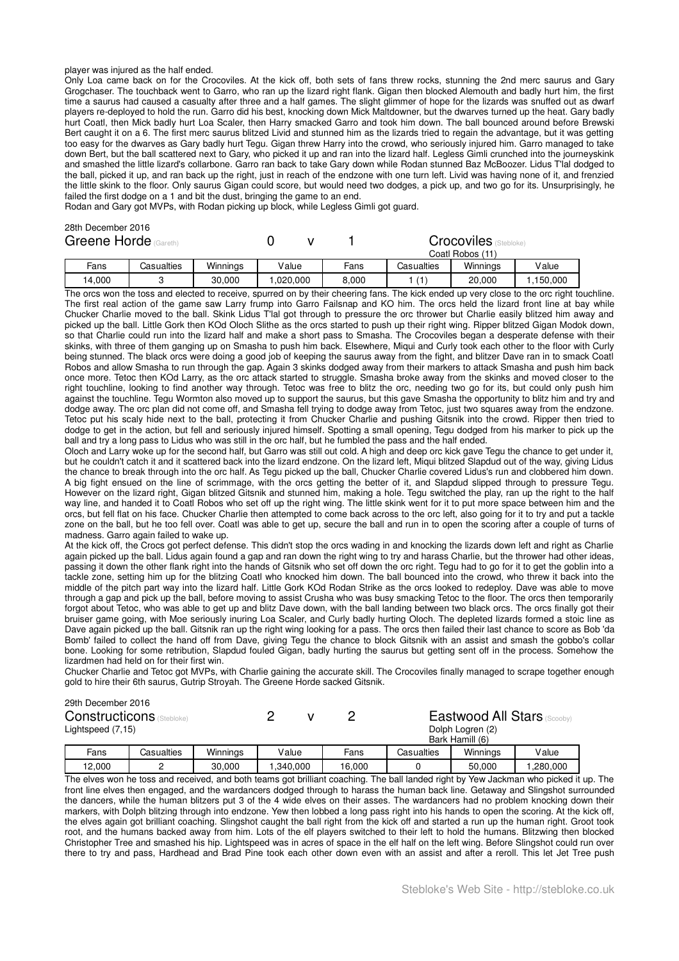#### player was injured as the half ended.

Only Loa came back on for the Crocoviles. At the kick off, both sets of fans threw rocks, stunning the 2nd merc saurus and Gary Grogchaser. The touchback went to Garro, who ran up the lizard right flank. Gigan then blocked Alemouth and badly hurt him, the first time a saurus had caused a casualty after three and a half games. The slight glimmer of hope for the lizards was snuffed out as dwarf players re-deployed to hold the run. Garro did his best, knocking down Mick Maltdowner, but the dwarves turned up the heat. Gary badly hurt Coatl, then Mick badly hurt Loa Scaler, then Harry smacked Garro and took him down. The ball bounced around before Brewski Bert caught it on a 6. The first merc saurus blitzed Livid and stunned him as the lizards tried to regain the advantage, but it was getting too easy for the dwarves as Gary badly hurt Tegu. Gigan threw Harry into the crowd, who seriously injured him. Garro managed to take down Bert, but the ball scattered next to Gary, who picked it up and ran into the lizard half. Legless Gimli crunched into the journeyskink and smashed the little lizard's collarbone. Garro ran back to take Gary down while Rodan stunned Baz McBoozer. Lidus T'lal dodged to the ball, picked it up, and ran back up the right, just in reach of the endzone with one turn left. Livid was having none of it, and frenzied the little skink to the floor. Only saurus Gigan could score, but would need two dodges, a pick up, and two go for its. Unsurprisingly, he failed the first dodge on a 1 and bit the dust, bringing the game to an end.

Rodan and Gary got MVPs, with Rodan picking up block, while Legless Gimli got guard.

# 28th December 2016

| Greene Horde (Gareth) |        |            |          |          |       | <b>Crocoviles</b><br>(Stebloke)<br>Coatl Robos (11) |          |          |
|-----------------------|--------|------------|----------|----------|-------|-----------------------------------------------------|----------|----------|
|                       | Fans   | Casualties | Winnings | Value    | Fans  | Casualties                                          | Winnings | Value    |
|                       | 14.000 |            | 30,000   | .020.000 | 8,000 |                                                     | 20,000   | .150.000 |

The orcs won the toss and elected to receive, spurred on by their cheering fans. The kick ended up very close to the orc right touchline. The first real action of the game saw Larry frump into Garro Failsnap and KO him. The orcs held the lizard front line at bay while Chucker Charlie moved to the ball. Skink Lidus T'lal got through to pressure the orc thrower but Charlie easily blitzed him away and picked up the ball. Little Gork then KOd Oloch Slithe as the orcs started to push up their right wing. Ripper blitzed Gigan Modok down, so that Charlie could run into the lizard half and make a short pass to Smasha. The Crocoviles began a desperate defense with their skinks, with three of them ganging up on Smasha to push him back. Elsewhere, Miqui and Curly took each other to the floor with Curly being stunned. The black orcs were doing a good job of keeping the saurus away from the fight, and blitzer Dave ran in to smack Coatl Robos and allow Smasha to run through the gap. Again 3 skinks dodged away from their markers to attack Smasha and push him back once more. Tetoc then KOd Larry, as the orc attack started to struggle. Smasha broke away from the skinks and moved closer to the right touchline, looking to find another way through. Tetoc was free to blitz the orc, needing two go for its, but could only push him against the touchline. Tegu Wormton also moved up to support the saurus, but this gave Smasha the opportunity to blitz him and try and dodge away. The orc plan did not come off, and Smasha fell trying to dodge away from Tetoc, just two squares away from the endzone. Tetoc put his scaly hide next to the ball, protecting it from Chucker Charlie and pushing Gitsnik into the crowd. Ripper then tried to dodge to get in the action, but fell and seriously injured himself. Spotting a small opening, Tegu dodged from his marker to pick up the ball and try a long pass to Lidus who was still in the orc half, but he fumbled the pass and the half ended.

Oloch and Larry woke up for the second half, but Garro was still out cold. A high and deep orc kick gave Tegu the chance to get under it, but he couldn't catch it and it scattered back into the lizard endzone. On the lizard left, Miqui blitzed Slapdud out of the way, giving Lidus the chance to break through into the orc half. As Tegu picked up the ball, Chucker Charlie covered Lidus's run and clobbered him down. A big fight ensued on the line of scrimmage, with the orcs getting the better of it, and Slapdud slipped through to pressure Tegu. However on the lizard right, Gigan blitzed Gitsnik and stunned him, making a hole. Tegu switched the play, ran up the right to the half way line, and handed it to Coatl Robos who set off up the right wing. The little skink went for it to put more space between him and the orcs, but fell flat on his face. Chucker Charlie then attempted to come back across to the orc left, also going for it to try and put a tackle zone on the ball, but he too fell over. Coatl was able to get up, secure the ball and run in to open the scoring after a couple of turns of madness. Garro again failed to wake up.

At the kick off, the Crocs got perfect defense. This didn't stop the orcs wading in and knocking the lizards down left and right as Charlie again picked up the ball. Lidus again found a gap and ran down the right wing to try and harass Charlie, but the thrower had other ideas, passing it down the other flank right into the hands of Gitsnik who set off down the orc right. Tegu had to go for it to get the goblin into a tackle zone, setting him up for the blitzing Coatl who knocked him down. The ball bounced into the crowd, who threw it back into the middle of the pitch part way into the lizard half. Little Gork KOd Rodan Strike as the orcs looked to redeploy. Dave was able to move through a gap and pick up the ball, before moving to assist Crusha who was busy smacking Tetoc to the floor. The orcs then temporarily forgot about Tetoc, who was able to get up and blitz Dave down, with the ball landing between two black orcs. The orcs finally got their bruiser game going, with Moe seriously inuring Loa Scaler, and Curly badly hurting Oloch. The depleted lizards formed a stoic line as Dave again picked up the ball. Gitsnik ran up the right wing looking for a pass. The orcs then failed their last chance to score as Bob 'da Bomb' failed to collect the hand off from Dave, giving Tegu the chance to block Gitsnik with an assist and smash the gobbo's collar bone. Looking for some retribution, Slapdud fouled Gigan, badly hurting the saurus but getting sent off in the process. Somehow the lizardmen had held on for their first win.

Chucker Charlie and Tetoc got MVPs, with Charlie gaining the accurate skill. The Crocoviles finally managed to scrape together enough gold to hire their 6th saurus, Gutrip Stroyah. The Greene Horde sacked Gitsnik.

#### 29th December 2016

| <b>Constructicons</b> (Stebloke) |        |            |          |          |        | Eastwood All Stars (Scooby) |                  |          |
|----------------------------------|--------|------------|----------|----------|--------|-----------------------------|------------------|----------|
| Lightspeed (7,15)                |        |            |          |          |        |                             | Dolph Logren (2) |          |
|                                  |        |            |          |          |        |                             | Bark Hamill (6)  |          |
|                                  | Fans   | Casualties | Winnings | Value    | Fans   | Casualties                  | Winnings         | Value    |
|                                  | 12.000 |            | 30,000   | .340.000 | 16.000 |                             | 50.000           | ,280,000 |

The elves won he toss and received, and both teams got brilliant coaching. The ball landed right by Yew Jackman who picked it up. The front line elves then engaged, and the wardancers dodged through to harass the human back line. Getaway and Slingshot surrounded the dancers, while the human blitzers put 3 of the 4 wide elves on their asses. The wardancers had no problem knocking down their markers, with Dolph blitzing through into endzone. Yew then lobbed a long pass right into his hands to open the scoring. At the kick off, the elves again got brilliant coaching. Slingshot caught the ball right from the kick off and started a run up the human right. Groot took root, and the humans backed away from him. Lots of the elf players switched to their left to hold the humans. Blitzwing then blocked Christopher Tree and smashed his hip. Lightspeed was in acres of space in the elf half on the left wing. Before Slingshot could run over there to try and pass, Hardhead and Brad Pine took each other down even with an assist and after a reroll. This let Jet Tree push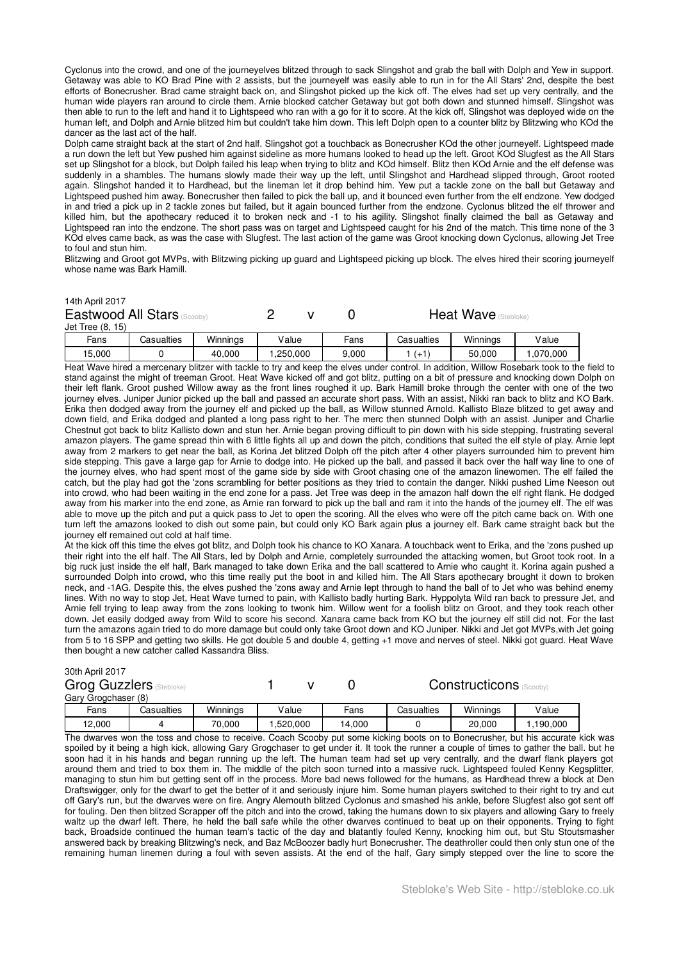Cyclonus into the crowd, and one of the journeyelves blitzed through to sack Slingshot and grab the ball with Dolph and Yew in support. Getaway was able to KO Brad Pine with 2 assists, but the journeyelf was easily able to run in for the All Stars' 2nd, despite the best efforts of Bonecrusher. Brad came straight back on, and Slingshot picked up the kick off. The elves had set up very centrally, and the human wide players ran around to circle them. Arnie blocked catcher Getaway but got both down and stunned himself. Slingshot was then able to run to the left and hand it to Lightspeed who ran with a go for it to score. At the kick off, Slingshot was deployed wide on the human left, and Dolph and Arnie blitzed him but couldn't take him down. This left Dolph open to a counter blitz by Blitzwing who KOd the dancer as the last act of the half.

Dolph came straight back at the start of 2nd half. Slingshot got a touchback as Bonecrusher KOd the other journeyelf. Lightspeed made a run down the left but Yew pushed him against sideline as more humans looked to head up the left. Groot KOd Slugfest as the All Stars set up Slingshot for a block, but Dolph failed his leap when trying to blitz and KOd himself. Blitz then KOd Arnie and the elf defense was suddenly in a shambles. The humans slowly made their way up the left, until Slingshot and Hardhead slipped through, Groot rooted again. Slingshot handed it to Hardhead, but the lineman let it drop behind him. Yew put a tackle zone on the ball but Getaway and Lightspeed pushed him away. Bonecrusher then failed to pick the ball up, and it bounced even further from the elf endzone. Yew dodged in and tried a pick up in 2 tackle zones but failed, but it again bounced further from the endzone. Cyclonus blitzed the elf thrower and killed him, but the apothecary reduced it to broken neck and -1 to his agility. Slingshot finally claimed the ball as Getaway and Lightspeed ran into the endzone. The short pass was on target and Lightspeed caught for his 2nd of the match. This time none of the 3 KOd elves came back, as was the case with Slugfest. The last action of the game was Groot knocking down Cyclonus, allowing Jet Tree to foul and stun him.

Blitzwing and Groot got MVPs, with Blitzwing picking up guard and Lightspeed picking up block. The elves hired their scoring journeyelf whose name was Bark Hamill.

#### 14th April 2017

| Eastwood All Stars (Scooby) |  |  | <b>Heat Wave</b> (Stebloke) |  |
|-----------------------------|--|--|-----------------------------|--|
| Jet Tree (8, 15)            |  |  |                             |  |
|                             |  |  | $  -$                       |  |

| 50,000<br>5,000<br>40.000<br>.070.000<br>.250.000<br>9.000<br>ᅝ | Fans | Casualties | Winninas | lalue | -ans | Casualties | .<br>Winnings | Value |
|-----------------------------------------------------------------|------|------------|----------|-------|------|------------|---------------|-------|
|                                                                 |      |            |          |       |      |            |               |       |

Heat Wave hired a mercenary blitzer with tackle to try and keep the elves under control. In addition, Willow Rosebark took to the field to stand against the might of treeman Groot. Heat Wave kicked off and got blitz, putting on a bit of pressure and knocking down Dolph on their left flank. Groot pushed Willow away as the front lines roughed it up. Bark Hamill broke through the center with one of the two journey elves. Juniper Junior picked up the ball and passed an accurate short pass. With an assist, Nikki ran back to blitz and KO Bark. Erika then dodged away from the journey elf and picked up the ball, as Willow stunned Arnold. Kallisto Blaze blitzed to get away and down field, and Erika dodged and planted a long pass right to her. The merc then stunned Dolph with an assist. Juniper and Charlie Chestnut got back to blitz Kallisto down and stun her. Arnie began proving difficult to pin down with his side stepping, frustrating several amazon players. The game spread thin with 6 little fights all up and down the pitch, conditions that suited the elf style of play. Arnie lept away from 2 markers to get near the ball, as Korina Jet blitzed Dolph off the pitch after 4 other players surrounded him to prevent him side stepping. This gave a large gap for Arnie to dodge into. He picked up the ball, and passed it back over the half way line to one of the journey elves, who had spent most of the game side by side with Groot chasing one of the amazon linewomen. The elf failed the catch, but the play had got the 'zons scrambling for better positions as they tried to contain the danger. Nikki pushed Lime Neeson out into crowd, who had been waiting in the end zone for a pass. Jet Tree was deep in the amazon half down the elf right flank. He dodged away from his marker into the end zone, as Arnie ran forward to pick up the ball and ram it into the hands of the journey elf. The elf was able to move up the pitch and put a quick pass to Jet to open the scoring. All the elves who were off the pitch came back on. With one turn left the amazons looked to dish out some pain, but could only KO Bark again plus a journey elf. Bark came straight back but the journey elf remained out cold at half time.

At the kick off this time the elves got blitz, and Dolph took his chance to KO Xanara. A touchback went to Erika, and the 'zons pushed up their right into the elf half. The All Stars, led by Dolph and Arnie, completely surrounded the attacking women, but Groot took root. In a big ruck just inside the elf half, Bark managed to take down Erika and the ball scattered to Arnie who caught it. Korina again pushed a surrounded Dolph into crowd, who this time really put the boot in and killed him. The All Stars apothecary brought it down to broken neck, and -1AG. Despite this, the elves pushed the 'zons away and Arnie lept through to hand the ball of to Jet who was behind enemy lines. With no way to stop Jet, Heat Wave turned to pain, with Kallisto badly hurting Bark. Hyppolyta Wild ran back to pressure Jet, and Arnie fell trying to leap away from the zons looking to twonk him. Willow went for a foolish blitz on Groot, and they took reach other down. Jet easily dodged away from Wild to score his second. Xanara came back from KO but the journey elf still did not. For the last turn the amazons again tried to do more damage but could only take Groot down and KO Juniper. Nikki and Jet got MVPs,with Jet going from 5 to 16 SPP and getting two skills. He got double 5 and double 4, getting +1 move and nerves of steel. Nikki got guard. Heat Wave then bought a new catcher called Kassandra Bliss.

#### 30th April 2017

| <b>Grog Guzzlers (Stebloke)</b> |            |          |          |        | <b>Constructicons</b><br>(Scooby) |          |          |  |
|---------------------------------|------------|----------|----------|--------|-----------------------------------|----------|----------|--|
| Gary Grogchaser (8)             |            |          |          |        |                                   |          |          |  |
| Fans                            | Casualties | Winnings | Value    | Fans   | Casualties                        | Winnings | Value    |  |
| 12,000                          |            | 70.000   | .520.000 | 14.000 |                                   | 20,000   | .190.000 |  |

The dwarves won the toss and chose to receive. Coach Scooby put some kicking boots on to Bonecrusher, but his accurate kick was spoiled by it being a high kick, allowing Gary Grogchaser to get under it. It took the runner a couple of times to gather the ball. but he soon had it in his hands and began running up the left. The human team had set up very centrally, and the dwarf flank players got around them and tried to box them in. The middle of the pitch soon turned into a massive ruck. Lightspeed fouled Kenny Kegsplitter, managing to stun him but getting sent off in the process. More bad news followed for the humans, as Hardhead threw a block at Den Draftswigger, only for the dwarf to get the better of it and seriously injure him. Some human players switched to their right to try and cut off Gary's run, but the dwarves were on fire. Angry Alemouth blitzed Cyclonus and smashed his ankle, before Slugfest also got sent off for fouling. Den then blitzed Scrapper off the pitch and into the crowd, taking the humans down to six players and allowing Gary to freely waltz up the dwarf left. There, he held the ball safe while the other dwarves continued to beat up on their opponents. Trying to fight back, Broadside continued the human team's tactic of the day and blatantly fouled Kenny, knocking him out, but Stu Stoutsmasher answered back by breaking Blitzwing's neck, and Baz McBoozer badly hurt Bonecrusher. The deathroller could then only stun one of the remaining human linemen during a foul with seven assists. At the end of the half, Gary simply stepped over the line to score the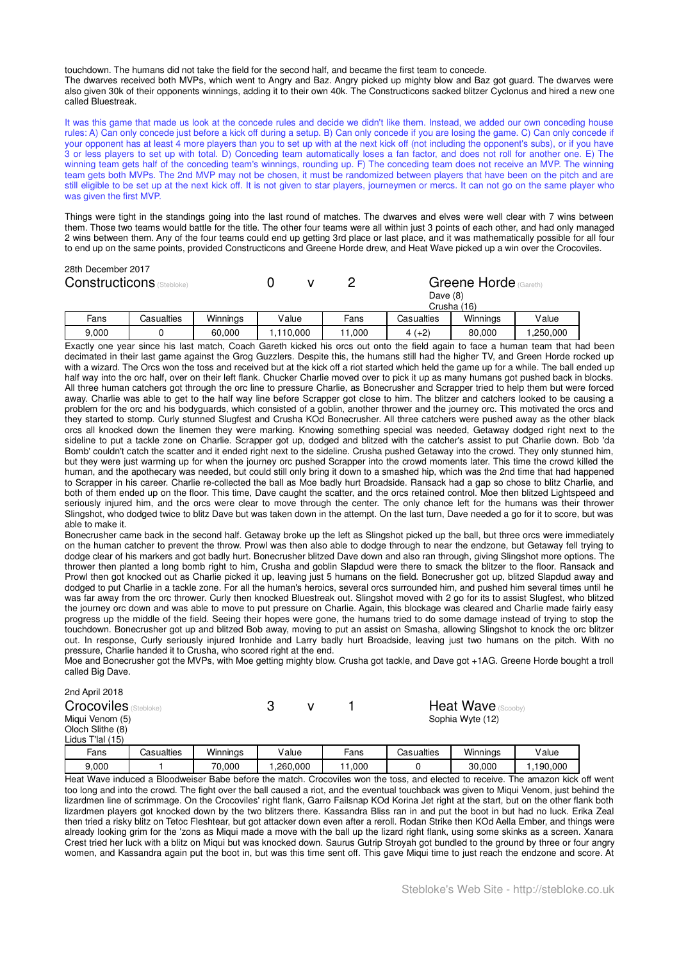touchdown. The humans did not take the field for the second half, and became the first team to concede. The dwarves received both MVPs, which went to Angry and Baz. Angry picked up mighty blow and Baz got guard. The dwarves were also given 30k of their opponents winnings, adding it to their own 40k. The Constructicons sacked blitzer Cyclonus and hired a new one called Bluestreak.

It was this game that made us look at the concede rules and decide we didn't like them. Instead, we added our own conceding house rules: A) Can only concede just before a kick off during a setup. B) Can only concede if you are losing the game. C) Can only concede if your opponent has at least 4 more players than you to set up with at the next kick off (not including the opponent's subs), or if you have 3 or less players to set up with total. D) Conceding team automatically loses a fan factor, and does not roll for another one. E) The winning team gets half of the conceding team's winnings, rounding up. F) The conceding team does not receive an MVP. The winning team gets both MVPs. The 2nd MVP may not be chosen, it must be randomized between players that have been on the pitch and are still eligible to be set up at the next kick off. It is not given to star players, journeymen or mercs. It can not go on the same player who was given the first MVP.

Things were tight in the standings going into the last round of matches. The dwarves and elves were well clear with 7 wins between them. Those two teams would battle for the title. The other four teams were all within just 3 points of each other, and had only managed 2 wins between them. Any of the four teams could end up getting 3rd place or last place, and it was mathematically possible for all four to end up on the same points, provided Constructicons and Greene Horde drew, and Heat Wave picked up a win over the Crocoviles.

| 28th December 2017<br><b>Constructicons</b> (Stebloke) |            |          |          |        | Greene Horde (Gareth)<br>Dave $(8)$<br>Crusha (16) |          |          |
|--------------------------------------------------------|------------|----------|----------|--------|----------------------------------------------------|----------|----------|
| Fans                                                   | Casualties | Winnings | Value    | Fans   | Casualties                                         | Winnings | Value    |
| 9.000                                                  |            | 60.000   | ,110,000 | 11.000 | $4(+2)$                                            | 80.000   | ,250,000 |

Exactly one year since his last match, Coach Gareth kicked his orcs out onto the field again to face a human team that had been decimated in their last game against the Grog Guzzlers. Despite this, the humans still had the higher TV, and Green Horde rocked up with a wizard. The Orcs won the toss and received but at the kick off a riot started which held the game up for a while. The ball ended up half way into the orc half, over on their left flank. Chucker Charlie moved over to pick it up as many humans got pushed back in blocks. All three human catchers got through the orc line to pressure Charlie, as Bonecrusher and Scrapper tried to help them but were forced away. Charlie was able to get to the half way line before Scrapper got close to him. The blitzer and catchers looked to be causing a problem for the orc and his bodyguards, which consisted of a goblin, another thrower and the journey orc. This motivated the orcs and they started to stomp. Curly stunned Slugfest and Crusha KOd Bonecrusher. All three catchers were pushed away as the other black orcs all knocked down the linemen they were marking. Knowing something special was needed, Getaway dodged right next to the sideline to put a tackle zone on Charlie. Scrapper got up, dodged and blitzed with the catcher's assist to put Charlie down. Bob 'da Bomb' couldn't catch the scatter and it ended right next to the sideline. Crusha pushed Getaway into the crowd. They only stunned him, but they were just warming up for when the journey orc pushed Scrapper into the crowd moments later. This time the crowd killed the human, and the apothecary was needed, but could still only bring it down to a smashed hip, which was the 2nd time that had happened to Scrapper in his career. Charlie re-collected the ball as Moe badly hurt Broadside. Ransack had a gap so chose to blitz Charlie, and both of them ended up on the floor. This time, Dave caught the scatter, and the orcs retained control. Moe then blitzed Lightspeed and seriously injured him, and the orcs were clear to move through the center. The only chance left for the humans was their thrower Slingshot, who dodged twice to blitz Dave but was taken down in the attempt. On the last turn, Dave needed a go for it to score, but was able to make it.

Bonecrusher came back in the second half. Getaway broke up the left as Slingshot picked up the ball, but three orcs were immediately on the human catcher to prevent the throw. Prowl was then also able to dodge through to near the endzone, but Getaway fell trying to dodge clear of his markers and got badly hurt. Bonecrusher blitzed Dave down and also ran through, giving Slingshot more options. The thrower then planted a long bomb right to him, Crusha and goblin Slapdud were there to smack the blitzer to the floor. Ransack and Prowl then got knocked out as Charlie picked it up, leaving just 5 humans on the field. Bonecrusher got up, blitzed Slapdud away and dodged to put Charlie in a tackle zone. For all the human's heroics, several orcs surrounded him, and pushed him several times until he was far away from the orc thrower. Curly then knocked Bluestreak out. Slingshot moved with 2 go for its to assist Slugfest, who blitzed the journey orc down and was able to move to put pressure on Charlie. Again, this blockage was cleared and Charlie made fairly easy progress up the middle of the field. Seeing their hopes were gone, the humans tried to do some damage instead of trying to stop the touchdown. Bonecrusher got up and blitzed Bob away, moving to put an assist on Smasha, allowing Slingshot to knock the orc blitzer out. In response, Curly seriously injured Ironhide and Larry badly hurt Broadside, leaving just two humans on the pitch. With no pressure, Charlie handed it to Crusha, who scored right at the end.

Moe and Bonecrusher got the MVPs, with Moe getting mighty blow. Crusha got tackle, and Dave got +1AG. Greene Horde bought a troll called Big Dave.

| 2nd April 2018               |            |          |            |                           |        |                  |          |           |  |  |
|------------------------------|------------|----------|------------|---------------------------|--------|------------------|----------|-----------|--|--|
| <b>Crocoviles</b> (Stebloke) | ?          |          |            | <b>Heat Wave</b> (Scooby) |        |                  |          |           |  |  |
| Migui Venom (5)              |            |          |            |                           |        | Sophia Wyte (12) |          |           |  |  |
| Oloch Slithe (8)             |            |          |            |                           |        |                  |          |           |  |  |
| Lidus T'lal (15)             |            |          |            |                           |        |                  |          |           |  |  |
| Fans                         | Casualties | Winnings | Value      |                           | Fans   | Casualties       | Winnings | Value     |  |  |
| 9,000                        |            | 70,000   | .260,000 ا |                           | 11,000 |                  | 30.000   | 1,190,000 |  |  |

Heat Wave induced a Bloodweiser Babe before the match. Crocoviles won the toss, and elected to receive. The amazon kick off went too long and into the crowd. The fight over the ball caused a riot, and the eventual touchback was given to Miqui Venom, just behind the lizardmen line of scrimmage. On the Crocoviles' right flank, Garro Failsnap KOd Korina Jet right at the start, but on the other flank both lizardmen players got knocked down by the two blitzers there. Kassandra Bliss ran in and put the boot in but had no luck. Erika Zeal then tried a risky blitz on Tetoc Fleshtear, but got attacker down even after a reroll. Rodan Strike then KOd Aella Ember, and things were already looking grim for the 'zons as Miqui made a move with the ball up the lizard right flank, using some skinks as a screen. Xanara Crest tried her luck with a blitz on Miqui but was knocked down. Saurus Gutrip Stroyah got bundled to the ground by three or four angry women, and Kassandra again put the boot in, but was this time sent off. This gave Miqui time to just reach the endzone and score. At